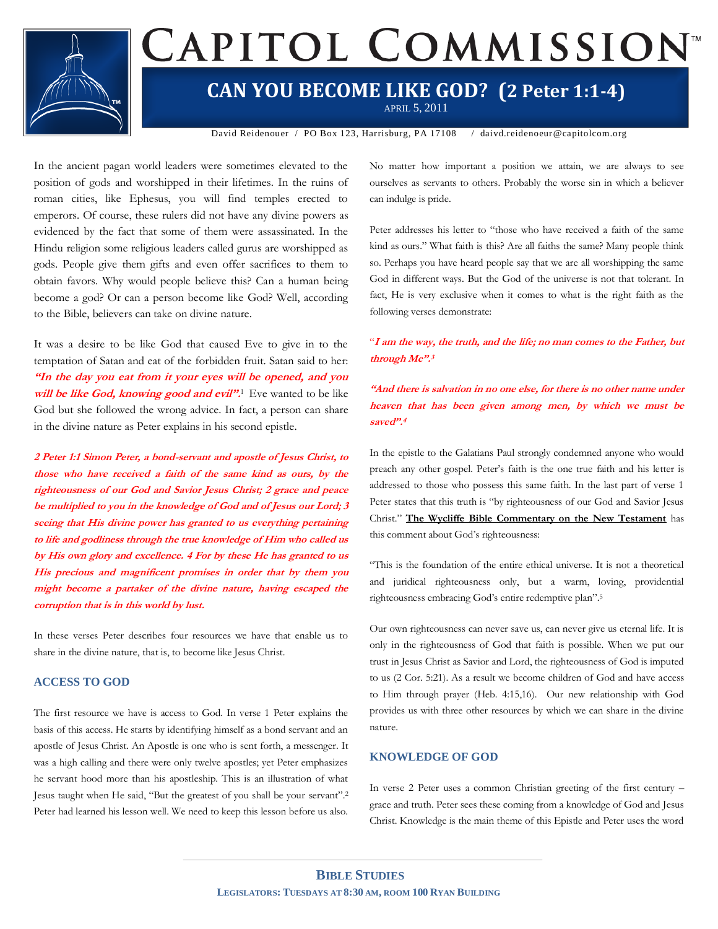

# CAPITOL COMMISSION<sup>®</sup>

### **CAN YOU BECOME LIKE GOD? (2 Peter 1:1-4)**

APRIL 5, 2011

David Reidenouer / PO Box 123, Harrisburg, PA 17108 / daivd.reidenoeur@capitolcom.org

In the ancient pagan world leaders were sometimes elevated to the position of gods and worshipped in their lifetimes. In the ruins of roman cities, like Ephesus, you will find temples erected to emperors. Of course, these rulers did not have any divine powers as evidenced by the fact that some of them were assassinated. In the Hindu religion some religious leaders called gurus are worshipped as gods. People give them gifts and even offer sacrifices to them to obtain favors. Why would people believe this? Can a human being become a god? Or can a person become like God? Well, according to the Bible, believers can take on divine nature.

It was a desire to be like God that caused Eve to give in to the temptation of Satan and eat of the forbidden fruit. Satan said to her: **"In the day you eat from it your eyes will be opened, and you**  will be like God, knowing good and evil".<sup>1</sup> Eve wanted to be like God but she followed the wrong advice. In fact, a person can share in the divine nature as Peter explains in his second epistle.

**2 Peter 1:1 Simon Peter, a bond-servant and apostle of Jesus Christ, to those who have received a faith of the same kind as ours, by the righteousness of our God and Savior Jesus Christ; 2 grace and peace be multiplied to you in the knowledge of God and of Jesus our Lord; 3 seeing that His divine power has granted to us everything pertaining to life and godliness through the true knowledge of Him who called us by His own glory and excellence. 4 For by these He has granted to us His precious and magnificent promises in order that by them you might become a partaker of the divine nature, having escaped the corruption that is in this world by lust.**

In these verses Peter describes four resources we have that enable us to share in the divine nature, that is, to become like Jesus Christ.

### **ACCESS TO GOD**

The first resource we have is access to God. In verse 1 Peter explains the basis of this access. He starts by identifying himself as a bond servant and an apostle of Jesus Christ. An Apostle is one who is sent forth, a messenger. It was a high calling and there were only twelve apostles; yet Peter emphasizes he servant hood more than his apostleship. This is an illustration of what Jesus taught when He said, "But the greatest of you shall be your servant". 2 Peter had learned his lesson well. We need to keep this lesson before us also.

No matter how important a position we attain, we are always to see ourselves as servants to others. Probably the worse sin in which a believer can indulge is pride.

Peter addresses his letter to "those who have received a faith of the same kind as ours." What faith is this? Are all faiths the same? Many people think so. Perhaps you have heard people say that we are all worshipping the same God in different ways. But the God of the universe is not that tolerant. In fact, He is very exclusive when it comes to what is the right faith as the following verses demonstrate:

### "**I am the way, the truth, and the life; no man comes to the Father, but through Me". 3**

### **"And there is salvation in no one else, for there is no other name under heaven that has been given among men, by which we must be saved". 4**

In the epistle to the Galatians Paul strongly condemned anyone who would preach any other gospel. Peter's faith is the one true faith and his letter is addressed to those who possess this same faith. In the last part of verse 1 Peter states that this truth is "by righteousness of our God and Savior Jesus Christ." **The Wycliffe Bible Commentary on the New Testament** has this comment about God's righteousness:

"This is the foundation of the entire ethical universe. It is not a theoretical and juridical righteousness only, but a warm, loving, providential righteousness embracing God's entire redemptive plan". 5

Our own righteousness can never save us, can never give us eternal life. It is only in the righteousness of God that faith is possible. When we put our trust in Jesus Christ as Savior and Lord, the righteousness of God is imputed to us (2 Cor. 5:21). As a result we become children of God and have access to Him through prayer (Heb. 4:15,16). Our new relationship with God provides us with three other resources by which we can share in the divine nature.

### **KNOWLEDGE OF GOD**

In verse 2 Peter uses a common Christian greeting of the first century – grace and truth. Peter sees these coming from a knowledge of God and Jesus Christ. Knowledge is the main theme of this Epistle and Peter uses the word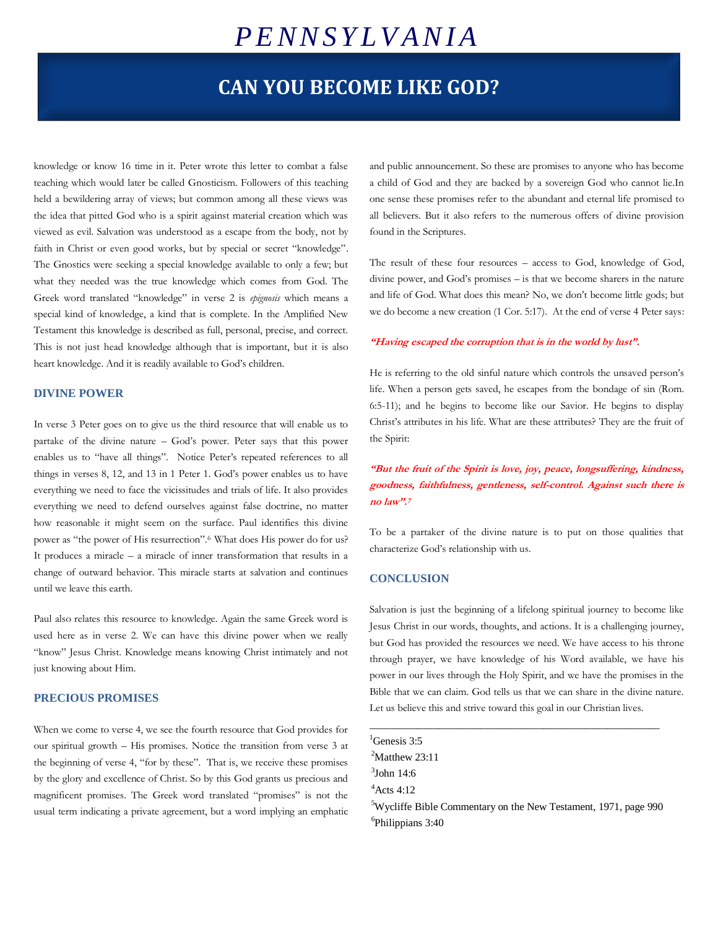## *P E N N S Y L V A N I A*

### **CAN YOU BECOME LIKE GOD?**

knowledge or know 16 time in it. Peter wrote this letter to combat a false teaching which would later be called Gnosticism. Followers of this teaching held a bewildering array of views; but common among all these views was the idea that pitted God who is a spirit against material creation which was viewed as evil. Salvation was understood as a escape from the body, not by faith in Christ or even good works, but by special or secret "knowledge". The Gnostics were seeking a special knowledge available to only a few; but what they needed was the true knowledge which comes from God. The Greek word translated "knowledge" in verse 2 is *epignosis* which means a special kind of knowledge, a kind that is complete. In the Amplified New Testament this knowledge is described as full, personal, precise, and correct. This is not just head knowledge although that is important, but it is also heart knowledge. And it is readily available to God's children.

### **DIVINE POWER**

In verse 3 Peter goes on to give us the third resource that will enable us to partake of the divine nature – God's power. Peter says that this power enables us to "have all things". Notice Peter's repeated references to all things in verses 8, 12, and 13 in 1 Peter 1. God's power enables us to have everything we need to face the vicissitudes and trials of life. It also provides everything we need to defend ourselves against false doctrine, no matter how reasonable it might seem on the surface. Paul identifies this divine power as "the power of His resurrection".6 What does His power do for us? It produces a miracle – a miracle of inner transformation that results in a change of outward behavior. This miracle starts at salvation and continues until we leave this earth.

Paul also relates this resource to knowledge. Again the same Greek word is used here as in verse 2. We can have this divine power when we really "know" Jesus Christ. Knowledge means knowing Christ intimately and not just knowing about Him.

### **PRECIOUS PROMISES**

When we come to verse 4, we see the fourth resource that God provides for our spiritual growth – His promises. Notice the transition from verse 3 at the beginning of verse 4, "for by these". That is, we receive these promises by the glory and excellence of Christ. So by this God grants us precious and magnificent promises. The Greek word translated "promises" is not the usual term indicating a private agreement, but a word implying an emphatic

and public announcement. So these are promises to anyone who has become a child of God and they are backed by a sovereign God who cannot lie.In one sense these promises refer to the abundant and eternal life promised to all believers. But it also refers to the numerous offers of divine provision found in the Scriptures.

The result of these four resources – access to God, knowledge of God, divine power, and God's promises – is that we become sharers in the nature and life of God. What does this mean? No, we don't become little gods; but we do become a new creation (1 Cor. 5:17). At the end of verse 4 Peter says:

#### **"Having escaped the corruption that is in the world by lust".**

He is referring to the old sinful nature which controls the unsaved person's life. When a person gets saved, he escapes from the bondage of sin (Rom. 6:5-11); and he begins to become like our Savior. He begins to display Christ's attributes in his life. What are these attributes? They are the fruit of the Spirit:

**"But the fruit of the Spirit is love, joy, peace, longsuffering, kindness, goodness, faithfulness, gentleness, self-control. Against such there is no law". 7**

To be a partaker of the divine nature is to put on those qualities that characterize God's relationship with us.

#### **CONCLUSION**

Salvation is just the beginning of a lifelong spiritual journey to become like Jesus Christ in our words, thoughts, and actions. It is a challenging journey, but God has provided the resources we need. We have access to his throne through prayer, we have knowledge of his Word available, we have his power in our lives through the Holy Spirit, and we have the promises in the Bible that we can claim. God tells us that we can share in the divine nature. Let us believe this and strive toward this goal in our Christian lives.

\_\_\_\_\_\_\_\_\_\_\_\_\_\_\_\_\_\_\_\_\_\_\_\_\_\_\_\_\_\_\_\_\_\_\_\_\_\_\_\_\_\_\_\_\_\_\_\_\_\_\_\_\_\_\_

 ${}^{1}$ Genesis 3:5  $2$ Matthew 23:11  $3$ John 14:6  $4$ Acts 4:12 <sup>5</sup>Wycliffe Bible Commentary on the New Testament, 1971, page 990 6 Philippians 3:40